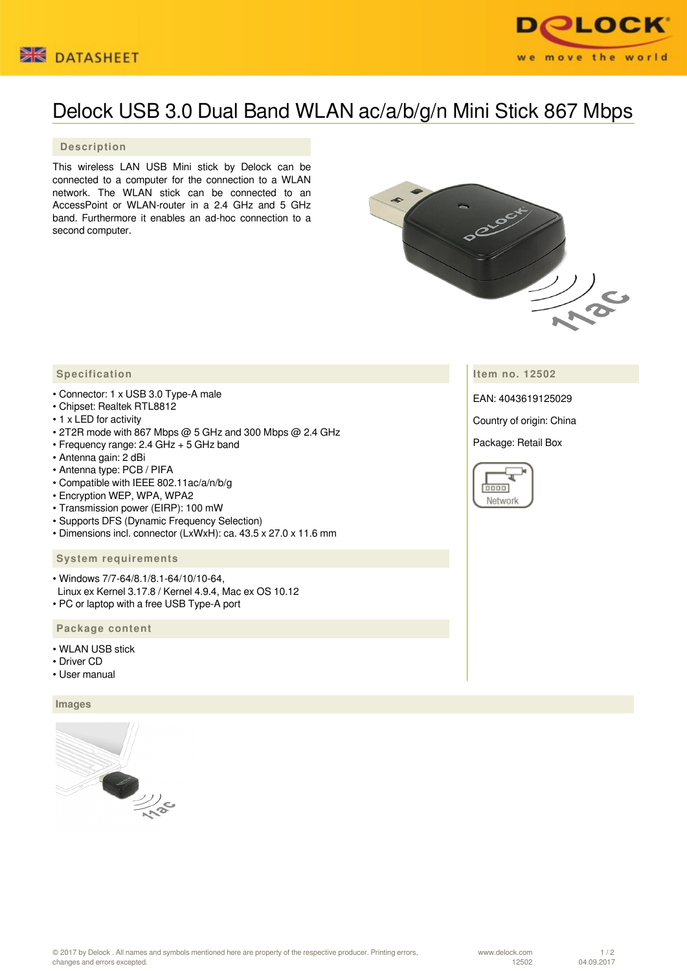



# Delock USB 3.0 Dual Band WLAN ac/a/b/g/n Mini Stick 867 Mbps

### **Description**

This wireless LAN USB Mini stick by Delock can be connected to a computer for the connection to a WLAN network. The WLAN stick can be connected to an AccessPoint or WLAN-router in a 2.4 GHz and 5 GHz band. Furthermore it enables an ad-hoc connection to a second computer.



## **Item no. 12502**

EAN: 4043619125029

Country of origin: China

Package: Retail Box



#### **Specification**

- Connector: 1 x USB 3.0 Type-A male
- Chipset: Realtek RTL8812
- 1 x LED for activity
- 2T2R mode with 867 Mbps @ 5 GHz and 300 Mbps @ 2.4 GHz
- Frequency range: 2.4 GHz + 5 GHz band
- Antenna gain: 2 dBi
- Antenna type: PCB / PIFA
- Compatible with IEEE 802.11ac/a/n/b/g
- Encryption WEP, WPA, WPA2
- Transmission power (EIRP): 100 mW
- Supports DFS (Dynamic Frequency Selection)
- Dimensions incl. connector (LxWxH): ca. 43.5 x 27.0 x 11.6 mm

#### **System requirements**

• Windows 7/7-64/8.1/8.1-64/10/10-64, Linux ex Kernel 3.17.8 / Kernel 4.9.4, Mac ex OS 10.12 • PC or laptop with a free USB Type-A port

#### **Package content**

- WLAN USB stick
- Driver CD
- User manual

 **Images**